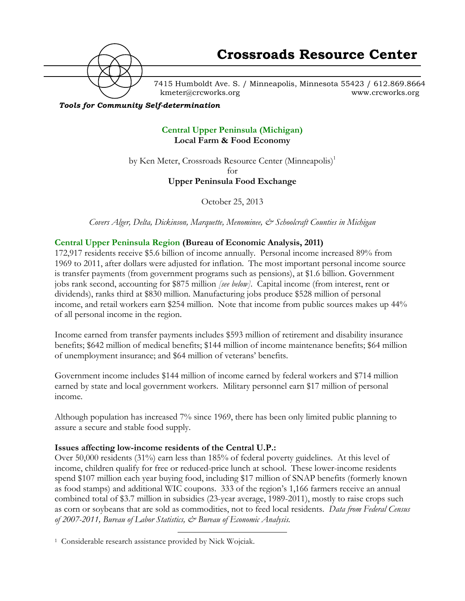

7415 Humboldt Ave. S. / Minneapolis, Minnesota 55423 / 612.869.8664 kmeter@crcworks.org www.crcworks.org

### *Tools for Community Self-determination*

### **Central Upper Peninsula (Michigan) Local Farm & Food Economy**

by Ken Meter, Crossroads Resource Center (Minneapolis)<sup>1</sup> for

### **Upper Peninsula Food Exchange**

October 25, 2013

*Covers Alger, Delta, Dickinson, Marquette, Menominee, & Schoolcraft Counties in Michigan*

### **Central Upper Peninsula Region (Bureau of Economic Analysis, 2011)**

172,917 residents receive \$5.6 billion of income annually. Personal income increased 89% from 1969 to 2011, after dollars were adjusted for inflation. The most important personal income source is transfer payments (from government programs such as pensions), at \$1.6 billion. Government jobs rank second, accounting for \$875 million *[see below]*. Capital income (from interest, rent or dividends), ranks third at \$830 million. Manufacturing jobs produce \$528 million of personal income, and retail workers earn \$254 million. Note that income from public sources makes up 44% of all personal income in the region.

Income earned from transfer payments includes \$593 million of retirement and disability insurance benefits; \$642 million of medical benefits; \$144 million of income maintenance benefits; \$64 million of unemployment insurance; and \$64 million of veterans' benefits.

Government income includes \$144 million of income earned by federal workers and \$714 million earned by state and local government workers. Military personnel earn \$17 million of personal income.

Although population has increased 7% since 1969, there has been only limited public planning to assure a secure and stable food supply.

### **Issues affecting low-income residents of the Central U.P.:**

Over 50,000 residents (31%) earn less than 185% of federal poverty guidelines. At this level of income, children qualify for free or reduced-price lunch at school. These lower-income residents spend \$107 million each year buying food, including \$17 million of SNAP benefits (formerly known as food stamps) and additional WIC coupons. 333 of the region's 1,166 farmers receive an annual combined total of \$3.7 million in subsidies (23-year average, 1989-2011), mostly to raise crops such as corn or soybeans that are sold as commodities, not to feed local residents. *Data from Federal Census of 2007-2011, Bureau of Labor Statistics, & Bureau of Economic Analysis.*

 <sup>1</sup> Considerable research assistance provided by Nick Wojciak.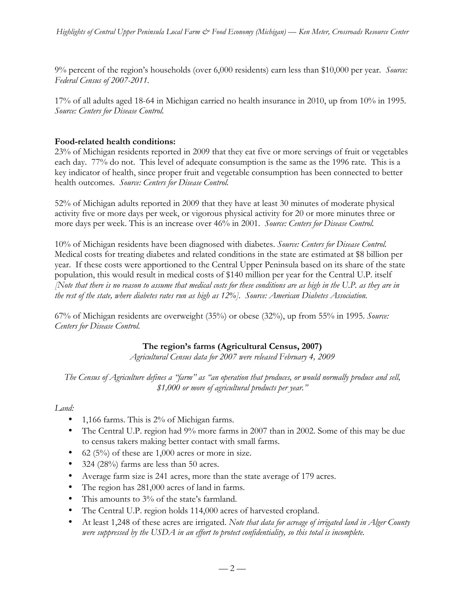9% percent of the region's households (over 6,000 residents) earn less than \$10,000 per year. *Source: Federal Census of 2007-2011.*

17% of all adults aged 18-64 in Michigan carried no health insurance in 2010, up from 10% in 1995. *Source: Centers for Disease Control.*

### **Food-related health conditions:**

23% of Michigan residents reported in 2009 that they eat five or more servings of fruit or vegetables each day. 77% do not. This level of adequate consumption is the same as the 1996 rate. This is a key indicator of health, since proper fruit and vegetable consumption has been connected to better health outcomes. *Source: Centers for Disease Control.*

52% of Michigan adults reported in 2009 that they have at least 30 minutes of moderate physical activity five or more days per week, or vigorous physical activity for 20 or more minutes three or more days per week. This is an increase over 46% in 2001. *Source: Centers for Disease Control.*

10% of Michigan residents have been diagnosed with diabetes. *Source: Centers for Disease Control.* Medical costs for treating diabetes and related conditions in the state are estimated at \$8 billion per year. If these costs were apportioned to the Central Upper Peninsula based on its share of the state population, this would result in medical costs of \$140 million per year for the Central U.P. itself *[Note that there is no reason to assume that medical costs for these conditions are as high in the U.P. as they are in the rest of the state, where diabetes rates run as high as 12%]. Source: American Diabetes Association.*

67% of Michigan residents are overweight (35%) or obese (32%), up from 55% in 1995. *Source: Centers for Disease Control.*

### **The region's farms (Agricultural Census, 2007)**

*Agricultural Census data for 2007 were released February 4, 2009*

*The Census of Agriculture defines a "farm" as "an operation that produces, or would normally produce and sell, \$1,000 or more of agricultural products per year."*

### *Land:*

- 1,166 farms. This is 2% of Michigan farms.
- The Central U.P. region had 9% more farms in 2007 than in 2002. Some of this may be due to census takers making better contact with small farms.
- 62 (5%) of these are  $1,000$  acres or more in size.
- 324 (28%) farms are less than 50 acres.
- Average farm size is 241 acres, more than the state average of 179 acres.
- The region has 281,000 acres of land in farms.
- This amounts to 3% of the state's farmland.
- The Central U.P. region holds 114,000 acres of harvested cropland.
- At least 1,248 of these acres are irrigated. *Note that data for acreage of irrigated land in Alger County were suppressed by the USDA in an effort to protect confidentiality, so this total is incomplete.*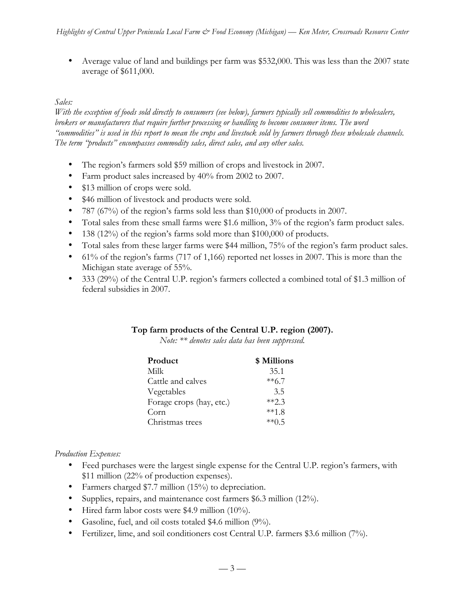• Average value of land and buildings per farm was \$532,000. This was less than the 2007 state average of \$611,000.

### *Sales:*

*With the exception of foods sold directly to consumers (see below), farmers typically sell commodities to wholesalers, brokers or manufacturers that require further processing or handling to become consumer items. The word "commodities" is used in this report to mean the crops and livestock sold by farmers through these wholesale channels. The term "products" encompasses commodity sales, direct sales, and any other sales.* 

- The region's farmers sold \$59 million of crops and livestock in 2007.
- Farm product sales increased by 40% from 2002 to 2007.
- \$13 million of crops were sold.
- \$46 million of livestock and products were sold.
- 787 (67%) of the region's farms sold less than \$10,000 of products in 2007.
- Total sales from these small farms were \$1.6 million, 3% of the region's farm product sales.
- 138 (12%) of the region's farms sold more than \$100,000 of products.
- Total sales from these larger farms were \$44 million, 75% of the region's farm product sales.
- 61% of the region's farms (717 of 1,166) reported net losses in 2007. This is more than the Michigan state average of 55%.
- 333 (29%) of the Central U.P. region's farmers collected a combined total of \$1.3 million of federal subsidies in 2007.

### **Top farm products of the Central U.P. region (2007).**

*Note: \*\* denotes sales data has been suppressed.*

| \$ Millions |
|-------------|
| 35.1        |
| $**6.7$     |
| 3.5         |
| $**23$      |
| $**18$      |
| $**05$      |
|             |

### *Production Expenses:*

- Feed purchases were the largest single expense for the Central U.P. region's farmers, with \$11 million (22% of production expenses).
- Farmers charged \$7.7 million (15%) to depreciation.
- Supplies, repairs, and maintenance cost farmers \$6.3 million (12%).
- Hired farm labor costs were \$4.9 million (10%).
- Gasoline, fuel, and oil costs totaled \$4.6 million (9%).
- Fertilizer, lime, and soil conditioners cost Central U.P. farmers \$3.6 million (7%).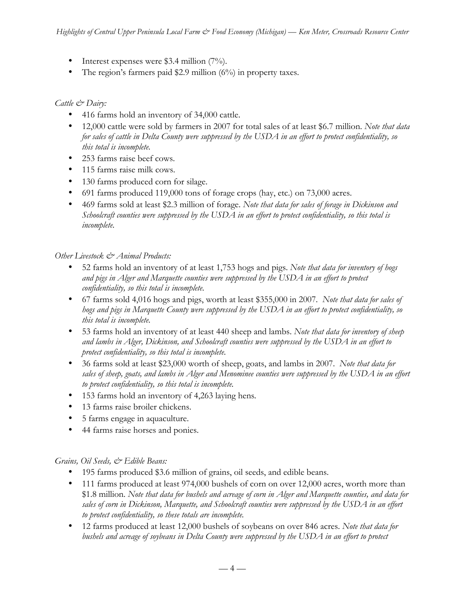- Interest expenses were \$3.4 million (7%).
- The region's farmers paid \$2.9 million (6%) in property taxes.

### *Cattle & Dairy:*

- 416 farms hold an inventory of 34,000 cattle.
- 12,000 cattle were sold by farmers in 2007 for total sales of at least \$6.7 million. *Note that data for sales of cattle in Delta County were suppressed by the USDA in an effort to protect confidentiality, so this total is incomplete.*
- 253 farms raise beef cows.
- 115 farms raise milk cows.
- 130 farms produced corn for silage.
- 691 farms produced 119,000 tons of forage crops (hay, etc.) on 73,000 acres.
- 469 farms sold at least \$2.3 million of forage. *Note that data for sales of forage in Dickinson and Schoolcraft counties were suppressed by the USDA in an effort to protect confidentiality, so this total is incomplete.*

#### *Other Livestock & Animal Products:*

- 52 farms hold an inventory of at least 1,753 hogs and pigs. *Note that data for inventory of hogs and pigs in Alger and Marquette counties were suppressed by the USDA in an effort to protect confidentiality, so this total is incomplete.*
- 67 farms sold 4,016 hogs and pigs, worth at least \$355,000 in 2007. *Note that data for sales of hogs and pigs in Marquette County were suppressed by the USDA in an effort to protect confidentiality, so this total is incomplete.*
- 53 farms hold an inventory of at least 440 sheep and lambs. *Note that data for inventory of sheep and lambs in Alger, Dickinson, and Schoolcraft counties were suppressed by the USDA in an effort to protect confidentiality, so this total is incomplete.*
- 36 farms sold at least \$23,000 worth of sheep, goats, and lambs in 2007. *Note that data for sales of sheep, goats, and lambs in Alger and Menominee counties were suppressed by the USDA in an effort to protect confidentiality, so this total is incomplete.*
- 153 farms hold an inventory of 4,263 laying hens*.*
- 13 farms raise broiler chickens.
- 5 farms engage in aquaculture.
- 44 farms raise horses and ponies.

### *Grains, Oil Seeds, & Edible Beans:*

- 195 farms produced \$3.6 million of grains, oil seeds, and edible beans.
- 111 farms produced at least 974,000 bushels of corn on over 12,000 acres, worth more than \$1.8 million. *Note that data for bushels and acreage of corn in Alger and Marquette counties, and data for sales of corn in Dickinson, Marquette, and Schoolcraft counties were suppressed by the USDA in an effort to protect confidentiality, so these totals are incomplete.*
- 12 farms produced at least 12,000 bushels of soybeans on over 846 acres. *Note that data for bushels and acreage of soybeans in Delta County were suppressed by the USDA in an effort to protect*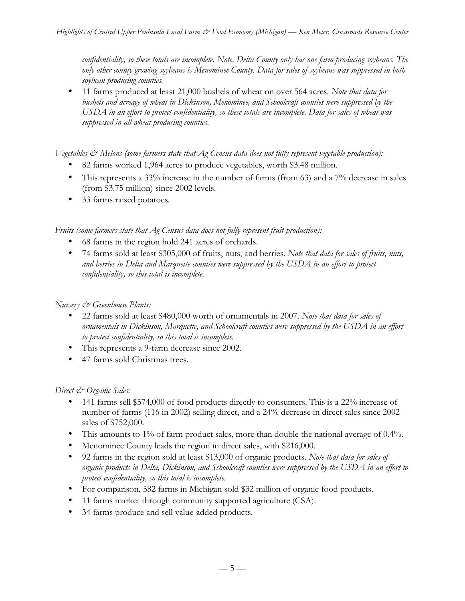*confidentiality, so these totals are incomplete. Note, Delta County only has one farm producing soybeans. The only other county growing soybeans is Menominee County. Data for sales of soybeans was suppressed in both soybean producing counties.*

• 11 farms produced at least 21,000 bushels of wheat on over 564 acres. *Note that data for bushels and acreage of wheat in Dickinson, Menominee, and Schoolcraft counties were suppressed by the USDA in an effort to protect confidentiality, so these totals are incomplete. Data for sales of wheat was suppressed in all wheat producing counties.* 

*Vegetables & Melons (some farmers state that Ag Census data does not fully represent vegetable production):*

- 82 farms worked 1,964 acres to produce vegetables, worth \$3.48 million.
- This represents a 33% increase in the number of farms (from 63) and a 7% decrease in sales (from \$3.75 million) since 2002 levels.
- 33 farms raised potatoes*.*

*Fruits (some farmers state that Ag Census data does not fully represent fruit production):*

- 68 farms in the region hold 241 acres of orchards.
- 74 farms sold at least \$305,000 of fruits, nuts, and berries*. Note that data for sales of fruits, nuts, and berries in Delta and Marquette counties were suppressed by the USDA in an effort to protect confidentiality, so this total is incomplete.*

### *Nursery & Greenhouse Plants:*

- 22 farms sold at least \$480,000 worth of ornamentals in 2007. *Note that data for sales of ornamentals in Dickinson, Marquette, and Schoolcraft counties were suppressed by the USDA in an effort to protect confidentiality, so this total is incomplete.*
- This represents a 9-farm decrease since 2002.
- 47 farms sold Christmas trees.

### *Direct & Organic Sales:*

- 141 farms sell \$574,000 of food products directly to consumers. This is a 22% increase of number of farms (116 in 2002) selling direct, and a 24% decrease in direct sales since 2002 sales of \$752,000.
- This amounts to 1% of farm product sales, more than double the national average of 0.4%.
- Menominee County leads the region in direct sales, with \$216,000.
- 92 farms in the region sold at least \$13,000 of organic products. *Note that data for sales of organic products in Delta, Dickinson, and Schoolcraft counties were suppressed by the USDA in an effort to protect confidentiality, so this total is incomplete.*
- For comparison, 582 farms in Michigan sold \$32 million of organic food products.
- 11 farms market through community supported agriculture (CSA).
- 34 farms produce and sell value-added products.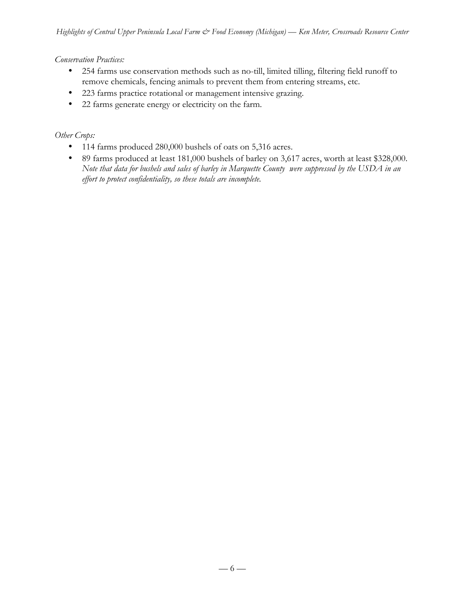### *Conservation Practices:*

- 254 farms use conservation methods such as no-till, limited tilling, filtering field runoff to remove chemicals, fencing animals to prevent them from entering streams, etc.
- 223 farms practice rotational or management intensive grazing.
- 22 farms generate energy or electricity on the farm.

### *Other Crops:*

- 114 farms produced 280,000 bushels of oats on 5,316 acres.
- 89 farms produced at least 181,000 bushels of barley on 3,617 acres, worth at least \$328,000. *Note that data for bushels and sales of barley in Marquette County were suppressed by the USDA in an effort to protect confidentiality, so these totals are incomplete.*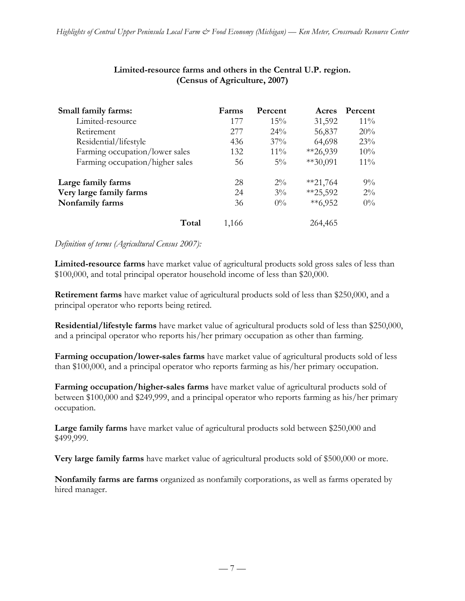| Small family farms:             | Farms | Percent | Acres      | Percent |
|---------------------------------|-------|---------|------------|---------|
| Limited-resource                | 177   | $15\%$  | 31,592     | $11\%$  |
| Retirement                      | 277   | $24\%$  | 56,837     | 20%     |
| Residential/lifestyle           | 436   | $37\%$  | 64,698     | 23%     |
| Farming occupation/lower sales  | 132   | $11\%$  | $*26,939$  | 10%     |
| Farming occupation/higher sales | 56    | $5\%$   | $**30,091$ | $11\%$  |
| Large family farms              | 28    | $2\%$   | $*21,764$  | $9\%$   |
| Very large family farms         | 24    | $3\%$   | $*25,592$  | $2\%$   |
| Nonfamily farms                 | 36    | $0\%$   | $**6,952$  | $0\%$   |
| Total                           | 1.166 |         | 264,465    |         |

### **Limited-resource farms and others in the Central U.P. region. (Census of Agriculture, 2007)**

### *Definition of terms (Agricultural Census 2007):*

**Limited-resource farms** have market value of agricultural products sold gross sales of less than \$100,000, and total principal operator household income of less than \$20,000.

**Retirement farms** have market value of agricultural products sold of less than \$250,000, and a principal operator who reports being retired.

**Residential/lifestyle farms** have market value of agricultural products sold of less than \$250,000, and a principal operator who reports his/her primary occupation as other than farming.

**Farming occupation/lower-sales farms** have market value of agricultural products sold of less than \$100,000, and a principal operator who reports farming as his/her primary occupation.

**Farming occupation/higher-sales farms** have market value of agricultural products sold of between \$100,000 and \$249,999, and a principal operator who reports farming as his/her primary occupation.

**Large family farms** have market value of agricultural products sold between \$250,000 and \$499,999.

**Very large family farms** have market value of agricultural products sold of \$500,000 or more.

**Nonfamily farms are farms** organized as nonfamily corporations, as well as farms operated by hired manager.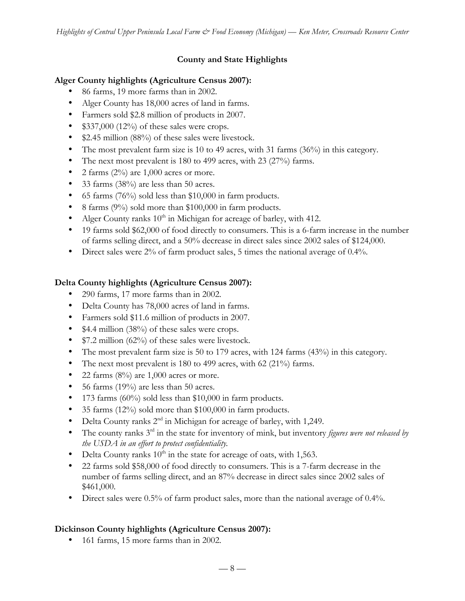# **County and State Highlights**

# **Alger County highlights (Agriculture Census 2007):**

- 86 farms, 19 more farms than in 2002.
- Alger County has 18,000 acres of land in farms.
- Farmers sold \$2.8 million of products in 2007.
- $$337,000$  (12%) of these sales were crops.
- \$2.45 million (88%) of these sales were livestock.
- The most prevalent farm size is 10 to 49 acres, with 31 farms (36%) in this category.
- The next most prevalent is 180 to 499 acres, with 23 (27%) farms.
- 2 farms  $(2\%)$  are 1,000 acres or more.
- 33 farms (38%) are less than 50 acres.
- 65 farms (76%) sold less than \$10,000 in farm products.
- 8 farms (9%) sold more than \$100,000 in farm products.
- Alger County ranks  $10<sup>th</sup>$  in Michigan for acreage of barley, with 412.
- 19 farms sold \$62,000 of food directly to consumers. This is a 6-farm increase in the number of farms selling direct, and a 50% decrease in direct sales since 2002 sales of \$124,000.
- Direct sales were 2% of farm product sales, 5 times the national average of 0.4%.

# **Delta County highlights (Agriculture Census 2007):**

- 290 farms, 17 more farms than in 2002.
- Delta County has 78,000 acres of land in farms.
- Farmers sold \$11.6 million of products in 2007.
- \$4.4 million (38%) of these sales were crops.
- \$7.2 million (62%) of these sales were livestock.
- The most prevalent farm size is 50 to 179 acres, with 124 farms (43%) in this category.
- The next most prevalent is 180 to 499 acres, with 62 (21%) farms.
- 22 farms  $(8\%)$  are 1,000 acres or more.
- 56 farms (19%) are less than 50 acres.
- 173 farms (60%) sold less than \$10,000 in farm products.
- 35 farms (12%) sold more than \$100,000 in farm products.
- Delta County ranks  $2<sup>nd</sup>$  in Michigan for acreage of barley, with 1,249.
- The county ranks 3<sup>rd</sup> in the state for inventory of mink, but inventory *figures were not released by the USDA in an effort to protect confidentiality.*
- Delta County ranks  $10^{th}$  in the state for acreage of oats, with 1,563.
- 22 farms sold \$58,000 of food directly to consumers. This is a 7-farm decrease in the number of farms selling direct, and an 87% decrease in direct sales since 2002 sales of \$461,000.
- Direct sales were 0.5% of farm product sales, more than the national average of 0.4%.

# **Dickinson County highlights (Agriculture Census 2007):**

• 161 farms, 15 more farms than in 2002.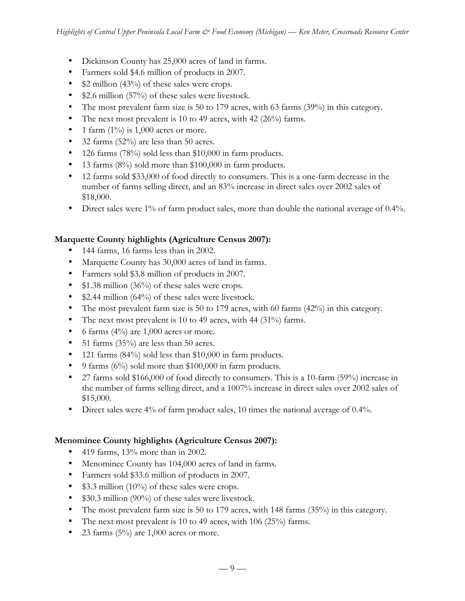- Dickinson County has 25,000 acres of land in farms.
- Farmers sold \$4.6 million of products in 2007.
- \$2 million (43%) of these sales were crops.
- \$2.6 million (57%) of these sales were livestock.
- The most prevalent farm size is 50 to 179 acres, with 63 farms (39%) in this category.
- The next most prevalent is 10 to 49 acres, with 42  $(26%)$  farms.
- 1 farm  $(1\%)$  is 1,000 acres or more.
- 32 farms (52%) are less than 50 acres.
- 126 farms (78%) sold less than \$10,000 in farm products.
- 13 farms (8%) sold more than \$100,000 in farm products.
- 12 farms sold \$33,000 of food directly to consumers. This is a one-farm decrease in the number of farms selling direct, and an 83% increase in direct sales over 2002 sales of \$18,000.
- Direct sales were 1% of farm product sales, more than double the national average of 0.4%.

## **Marquette County highlights (Agriculture Census 2007):**

- 144 farms, 16 farms less than in 2002.
- Marquette County has 30,000 acres of land in farms.
- Farmers sold \$3.8 million of products in 2007.
- \$1.38 million (36%) of these sales were crops.
- \$2.44 million (64%) of these sales were livestock.
- The most prevalent farm size is 50 to 179 acres, with 60 farms (42%) in this category.
- The next most prevalent is 10 to 49 acres, with 44 (31%) farms.
- 6 farms  $(4\%)$  are 1,000 acres or more.
- 51 farms (35%) are less than 50 acres.
- 121 farms (84%) sold less than \$10,000 in farm products.
- 9 farms  $(6\%)$  sold more than \$100,000 in farm products.
- 27 farms sold \$166,000 of food directly to consumers. This is a 10-farm (59%) increase in the number of farms selling direct, and a 1007% increase in direct sales over 2002 sales of \$15,000.
- Direct sales were  $4\%$  of farm product sales, 10 times the national average of 0.4%.

## **Menominee County highlights (Agriculture Census 2007):**

- 419 farms,  $13\%$  more than in 2002.
- Menominee County has 104,000 acres of land in farms.
- Farmers sold \$33.6 million of products in 2007.
- \$3.3 million (10%) of these sales were crops.
- \$30.3 million (90%) of these sales were livestock.
- The most prevalent farm size is 50 to 179 acres, with 148 farms (35%) in this category.
- The next most prevalent is 10 to 49 acres, with 106 (25%) farms.
- 23 farms  $(5\%)$  are 1,000 acres or more.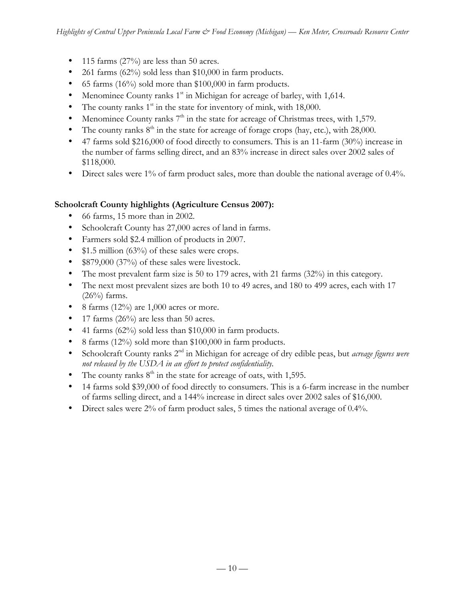- 115 farms  $(27\%)$  are less than 50 acres.
- 261 farms  $(62\%)$  sold less than \$10,000 in farm products.
- 65 farms (16%) sold more than \$100,000 in farm products.
- Menominee County ranks 1<sup>st</sup> in Michigan for acreage of barley, with 1,614.
- The county ranks  $1<sup>st</sup>$  in the state for inventory of mink, with 18,000.
- Menominee County ranks  $7<sup>th</sup>$  in the state for acreage of Christmas trees, with 1,579.
- The county ranks  $8<sup>th</sup>$  in the state for acreage of forage crops (hay, etc.), with 28,000.
- 47 farms sold \$216,000 of food directly to consumers. This is an 11-farm (30%) increase in the number of farms selling direct, and an 83% increase in direct sales over 2002 sales of \$118,000.
- Direct sales were 1% of farm product sales, more than double the national average of 0.4%.

# **Schoolcraft County highlights (Agriculture Census 2007):**

- 66 farms, 15 more than in 2002.
- Schoolcraft County has 27,000 acres of land in farms.
- Farmers sold \$2.4 million of products in 2007.
- \$1.5 million (63%) of these sales were crops.
- \$879,000 (37%) of these sales were livestock.
- The most prevalent farm size is 50 to 179 acres, with 21 farms (32%) in this category.
- The next most prevalent sizes are both 10 to 49 acres, and 180 to 499 acres, each with 17  $(26\%)$  farms.
- 8 farms  $(12\%)$  are 1,000 acres or more.
- 17 farms  $(26\%)$  are less than 50 acres.
- 41 farms  $(62\%)$  sold less than \$10,000 in farm products.
- 8 farms (12%) sold more than \$100,000 in farm products.
- Schoolcraft County ranks 2nd in Michigan for acreage of dry edible peas, but *acreage figures were not released by the USDA in an effort to protect confidentiality.*
- The county ranks  $8<sup>th</sup>$  in the state for acreage of oats, with 1,595.
- 14 farms sold \$39,000 of food directly to consumers. This is a 6-farm increase in the number of farms selling direct, and a 144% increase in direct sales over 2002 sales of \$16,000.
- Direct sales were 2% of farm product sales, 5 times the national average of 0.4%.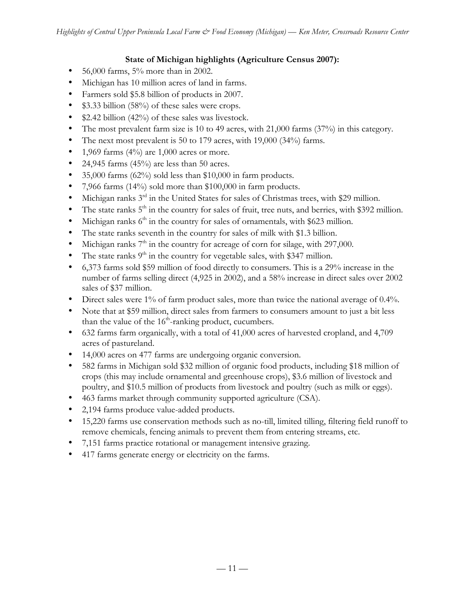# **State of Michigan highlights (Agriculture Census 2007):**

- $56,000$  farms,  $5\%$  more than in 2002.
- Michigan has 10 million acres of land in farms.
- Farmers sold \$5.8 billion of products in 2007.
- \$3.33 billion (58%) of these sales were crops.
- \$2.42 billion (42%) of these sales was livestock.
- The most prevalent farm size is 10 to 49 acres, with 21,000 farms (37%) in this category.
- The next most prevalent is 50 to 179 acres, with 19,000 (34%) farms.
- 1,969 farms  $(4\%)$  are 1,000 acres or more.
- 24,945 farms  $(45\%)$  are less than 50 acres.
- 35,000 farms (62%) sold less than \$10,000 in farm products.
- 7,966 farms (14%) sold more than \$100,000 in farm products.
- Michigan ranks  $3^{rd}$  in the United States for sales of Christmas trees, with \$29 million.
- The state ranks  $5<sup>th</sup>$  in the country for sales of fruit, tree nuts, and berries, with \$392 million.
- Michigan ranks  $6<sup>th</sup>$  in the country for sales of ornamentals, with \$623 million.
- The state ranks seventh in the country for sales of milk with \$1.3 billion.
- Michigan ranks  $7<sup>th</sup>$  in the country for acreage of corn for silage, with 297,000.
- The state ranks  $9<sup>th</sup>$  in the country for vegetable sales, with \$347 million.
- 6,373 farms sold \$59 million of food directly to consumers. This is a 29% increase in the number of farms selling direct (4,925 in 2002), and a 58% increase in direct sales over 2002 sales of \$37 million.
- Direct sales were 1% of farm product sales, more than twice the national average of 0.4%.
- Note that at \$59 million, direct sales from farmers to consumers amount to just a bit less than the value of the  $16<sup>th</sup>$ -ranking product, cucumbers.
- 632 farms farm organically, with a total of 41,000 acres of harvested cropland, and 4,709 acres of pastureland.
- 14,000 acres on 477 farms are undergoing organic conversion.
- 582 farms in Michigan sold \$32 million of organic food products, including \$18 million of crops (this may include ornamental and greenhouse crops), \$3.6 million of livestock and poultry, and \$10.5 million of products from livestock and poultry (such as milk or eggs).
- 463 farms market through community supported agriculture (CSA).
- 2,194 farms produce value-added products.
- 15,220 farms use conservation methods such as no-till, limited tilling, filtering field runoff to remove chemicals, fencing animals to prevent them from entering streams, etc.
- 7,151 farms practice rotational or management intensive grazing.
- 417 farms generate energy or electricity on the farms.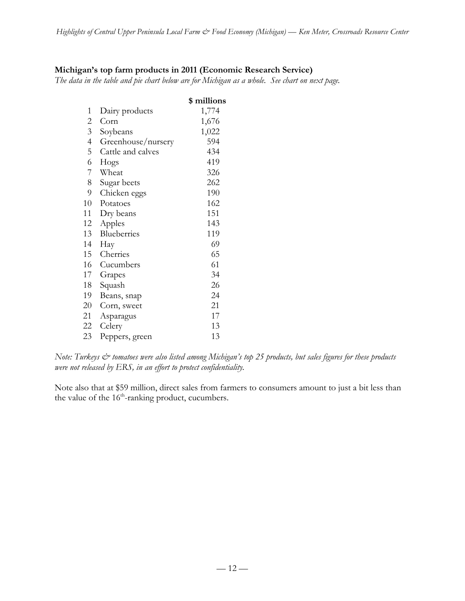### **Michigan's top farm products in 2011 (Economic Research Service)**

*The data in the table and pie chart below are for Michigan as a whole. See chart on next page.*

|                |                    | \$ millions |
|----------------|--------------------|-------------|
| 1              | Dairy products     | 1,774       |
| 2              | Corn               | 1,676       |
| $\overline{3}$ | Soybeans           | 1,022       |
| $\overline{4}$ | Greenhouse/nursery | 594         |
| 5              | Cattle and calves  | 434         |
| 6              | Hogs               | 419         |
| 7              | Wheat              | 326         |
| 8              | Sugar beets        | 262         |
| 9              | Chicken eggs       | 190         |
| 10             | Potatoes           | 162         |
| 11             | Dry beans          | 151         |
| 12             | Apples             | 143         |
| 13             | Blueberries        | 119         |
| 14             | Hay                | 69          |
| 15             | Cherries           | 65          |
| 16             | Cucumbers          | 61          |
| 17             | Grapes             | 34          |
| 18             | Squash             | 26          |
| 19             | Beans, snap        | 24          |
| 20             | Corn, sweet        | 21          |
| 21             | Asparagus          | 17          |
| 22             | Celery             | 13          |
| 23             | Peppers, green     | 13          |

*Note: Turkeys*  $\breve{c}$  *tomatoes were also listed among Michigan's top 25 products, but sales figures for these products were not released by ERS, in an effort to protect confidentiality.*

Note also that at \$59 million, direct sales from farmers to consumers amount to just a bit less than the value of the  $16<sup>th</sup>$ -ranking product, cucumbers.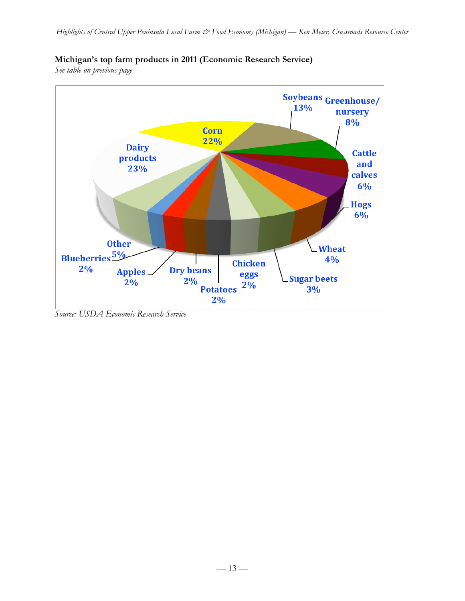

## **Michigan's top farm products in 2011 (Economic Research Service)**

*See table on previous page*

*Source: USDA Economic Research Service*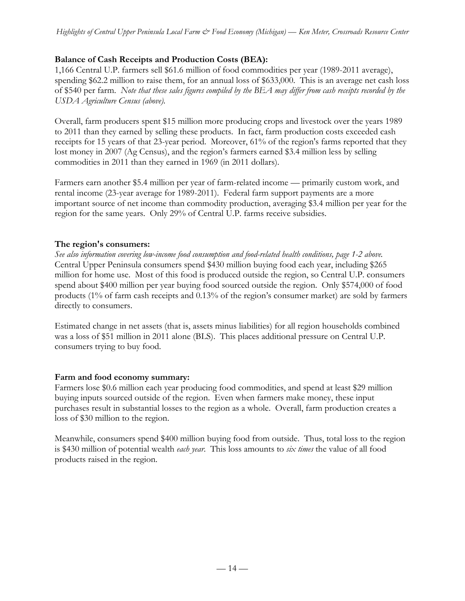### **Balance of Cash Receipts and Production Costs (BEA):**

1,166 Central U.P. farmers sell \$61.6 million of food commodities per year (1989-2011 average), spending \$62.2 million to raise them, for an annual loss of \$633,000. This is an average net cash loss of \$540 per farm. *Note that these sales figures compiled by the BEA may differ from cash receipts recorded by the USDA Agriculture Census (above).*

Overall, farm producers spent \$15 million more producing crops and livestock over the years 1989 to 2011 than they earned by selling these products. In fact, farm production costs exceeded cash receipts for 15 years of that 23-year period. Moreover, 61% of the region's farms reported that they lost money in 2007 (Ag Census), and the region's farmers earned \$3.4 million less by selling commodities in 2011 than they earned in 1969 (in 2011 dollars).

Farmers earn another \$5.4 million per year of farm-related income — primarily custom work, and rental income (23-year average for 1989-2011). Federal farm support payments are a more important source of net income than commodity production, averaging \$3.4 million per year for the region for the same years. Only 29% of Central U.P. farms receive subsidies.

### **The region's consumers:**

*See also information covering low-income food consumption and food-related health conditions, page 1-2 above.* Central Upper Peninsula consumers spend \$430 million buying food each year, including \$265 million for home use. Most of this food is produced outside the region, so Central U.P. consumers spend about \$400 million per year buying food sourced outside the region. Only \$574,000 of food products (1% of farm cash receipts and 0.13% of the region's consumer market) are sold by farmers directly to consumers.

Estimated change in net assets (that is, assets minus liabilities) for all region households combined was a loss of \$51 million in 2011 alone (BLS). This places additional pressure on Central U.P. consumers trying to buy food.

### **Farm and food economy summary:**

Farmers lose \$0.6 million each year producing food commodities, and spend at least \$29 million buying inputs sourced outside of the region. Even when farmers make money, these input purchases result in substantial losses to the region as a whole. Overall, farm production creates a loss of \$30 million to the region.

Meanwhile, consumers spend \$400 million buying food from outside. Thus, total loss to the region is \$430 million of potential wealth *each year*. This loss amounts to *six times* the value of all food products raised in the region.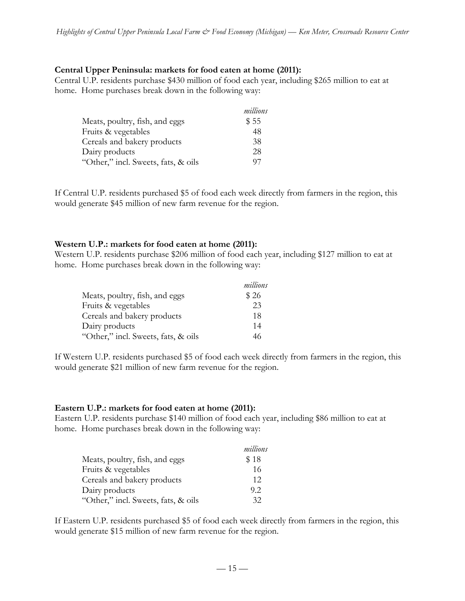#### **Central Upper Peninsula: markets for food eaten at home (2011):**

Central U.P. residents purchase \$430 million of food each year, including \$265 million to eat at home. Home purchases break down in the following way:

|                                     | millions |
|-------------------------------------|----------|
| Meats, poultry, fish, and eggs      | \$55     |
| Fruits & vegetables                 | 48       |
| Cereals and bakery products         | 38       |
| Dairy products                      | 28       |
| "Other," incl. Sweets, fats, & oils | 97       |

If Central U.P. residents purchased \$5 of food each week directly from farmers in the region, this would generate \$45 million of new farm revenue for the region.

#### **Western U.P.: markets for food eaten at home (2011):**

Western U.P. residents purchase \$206 million of food each year, including \$127 million to eat at home. Home purchases break down in the following way:

|                                     | millions |
|-------------------------------------|----------|
| Meats, poultry, fish, and eggs      | \$26     |
| Fruits & vegetables                 | 23       |
| Cereals and bakery products         | 18       |
| Dairy products                      | 14       |
| "Other," incl. Sweets, fats, & oils | 46       |

If Western U.P. residents purchased \$5 of food each week directly from farmers in the region, this would generate \$21 million of new farm revenue for the region.

#### **Eastern U.P.: markets for food eaten at home (2011):**

Eastern U.P. residents purchase \$140 million of food each year, including \$86 million to eat at home. Home purchases break down in the following way:

|                                     | millions |
|-------------------------------------|----------|
| Meats, poultry, fish, and eggs      | \$18     |
| Fruits & vegetables                 | 16       |
| Cereals and bakery products         | 12       |
| Dairy products                      | 9.2      |
| "Other," incl. Sweets, fats, & oils | 32       |

If Eastern U.P. residents purchased \$5 of food each week directly from farmers in the region, this would generate \$15 million of new farm revenue for the region.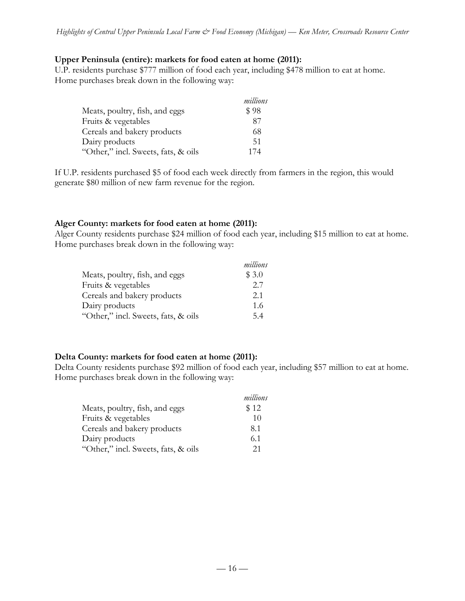### **Upper Peninsula (entire): markets for food eaten at home (2011):**

U.P. residents purchase \$777 million of food each year, including \$478 million to eat at home. Home purchases break down in the following way:

|                                     | millions |
|-------------------------------------|----------|
| Meats, poultry, fish, and eggs      | \$98     |
| Fruits & vegetables                 | 87       |
| Cereals and bakery products         | 68       |
| Dairy products                      | 51       |
| "Other," incl. Sweets, fats, & oils | 174      |

If U.P. residents purchased \$5 of food each week directly from farmers in the region, this would generate \$80 million of new farm revenue for the region.

## **Alger County: markets for food eaten at home (2011):**

Alger County residents purchase \$24 million of food each year, including \$15 million to eat at home. Home purchases break down in the following way:

|                                     | millions |
|-------------------------------------|----------|
| Meats, poultry, fish, and eggs      | \$3.0    |
| Fruits & vegetables                 | 2.7      |
| Cereals and bakery products         | 2.1      |
| Dairy products                      | 1.6      |
| "Other," incl. Sweets, fats, & oils | 5.4      |

## **Delta County: markets for food eaten at home (2011):**

Delta County residents purchase \$92 million of food each year, including \$57 million to eat at home. Home purchases break down in the following way:

|                                     | millions |
|-------------------------------------|----------|
| Meats, poultry, fish, and eggs      | \$12     |
| Fruits & vegetables                 | 10       |
| Cereals and bakery products         | 8.1      |
| Dairy products                      | 6.1      |
| "Other," incl. Sweets, fats, & oils | 21       |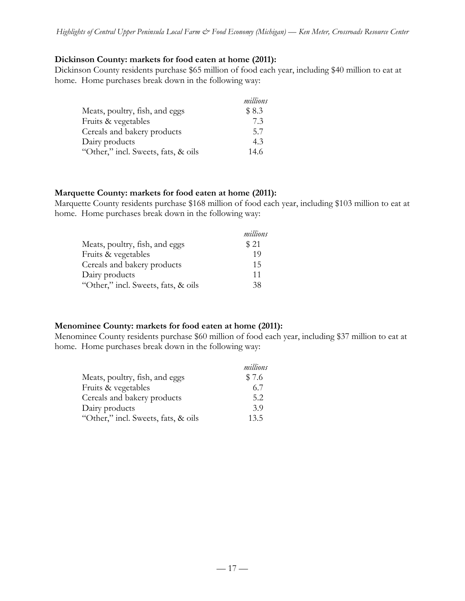### **Dickinson County: markets for food eaten at home (2011):**

Dickinson County residents purchase \$65 million of food each year, including \$40 million to eat at home. Home purchases break down in the following way:

|                                     | millions |
|-------------------------------------|----------|
| Meats, poultry, fish, and eggs      | \$8.3    |
| Fruits & vegetables                 | 7.3      |
| Cereals and bakery products         | 5.7      |
| Dairy products                      | 4.3      |
| "Other," incl. Sweets, fats, & oils | 14.6     |

### **Marquette County: markets for food eaten at home (2011):**

Marquette County residents purchase \$168 million of food each year, including \$103 million to eat at home. Home purchases break down in the following way:

|                                     | millions |
|-------------------------------------|----------|
| Meats, poultry, fish, and eggs      | \$21     |
| Fruits & vegetables                 | 19       |
| Cereals and bakery products         | 15       |
| Dairy products                      | 11       |
| "Other," incl. Sweets, fats, & oils | 38       |

### **Menominee County: markets for food eaten at home (2011):**

Menominee County residents purchase \$60 million of food each year, including \$37 million to eat at home. Home purchases break down in the following way:

|                                     | millions |
|-------------------------------------|----------|
| Meats, poultry, fish, and eggs      | \$7.6    |
| Fruits & vegetables                 | 6.7      |
| Cereals and bakery products         | 5.2      |
| Dairy products                      | 3.9      |
| "Other," incl. Sweets, fats, & oils | 13.5     |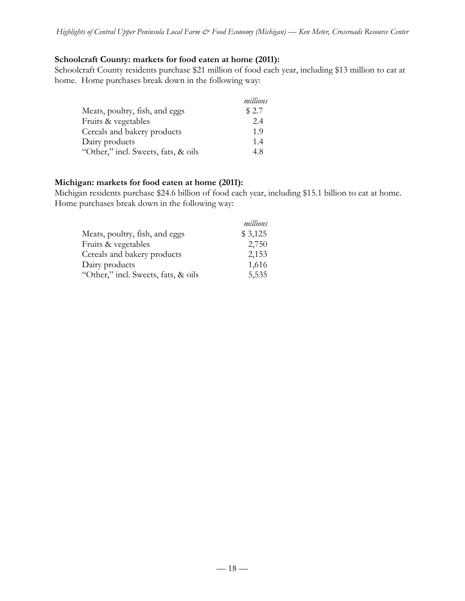### **Schoolcraft County: markets for food eaten at home (2011):**

Schoolcraft County residents purchase \$21 million of food each year, including \$13 million to eat at home. Home purchases break down in the following way:

|                                     | millions |
|-------------------------------------|----------|
| Meats, poultry, fish, and eggs      | \$2.7    |
| Fruits & vegetables                 | 2.4      |
| Cereals and bakery products         | 1.9      |
| Dairy products                      | 1.4      |
| "Other," incl. Sweets, fats, & oils | 4.8      |

### **Michigan: markets for food eaten at home (2011):**

Michigan residents purchase \$24.6 billion of food each year, including \$15.1 billion to eat at home. Home purchases break down in the following way:

|                                     | millions |
|-------------------------------------|----------|
| Meats, poultry, fish, and eggs      | \$3,125  |
| Fruits & vegetables                 | 2,750    |
| Cereals and bakery products         | 2,153    |
| Dairy products                      | 1,616    |
| "Other," incl. Sweets, fats, & oils | 5,535    |